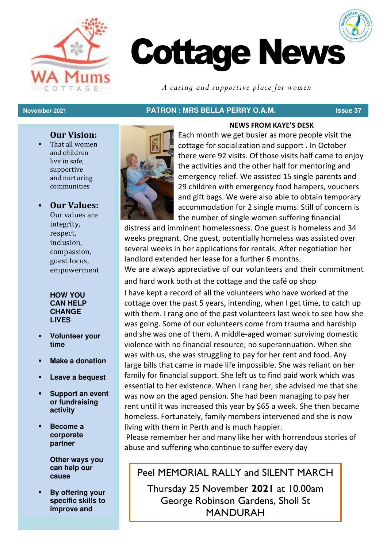



*A caring and supportive place for women*

# **November 2021 PATRON : MRS BELLA PERRY O.A.M. Issue 37**

# **Our Vision:**

That all women and children live in safe, supportive and nurturing communities

# ▪ **Our Values:**

Our values are integrity, respect, inclusion, compassion, guest focus, empowerment

### **HOW YOU CAN HELP CHANGE LIVES**

- **Volunteer your time**
- **Make a donation**
- Leave a bequest
- **Support an event or fundraising activity**
- Become a **corporate partner**

**Other ways you can help our cause** 

**By offering your specific skills to improve and** 



Each month we get busier as more people visit the cottage for socialization and support . In October there were 92 visits. Of those visits half came to enjoy the activities and the other half for mentoring and emergency relief. We assisted 15 single parents and 29 children with emergency food hampers, vouchers and gift bags. We were also able to obtain temporary accommodation for 2 single mums. Still of concern is the number of single women suffering financial

**NEWS FROM KAYE'S DESK**

distress and imminent homelessness. One guest is homeless and 34 weeks pregnant. One guest, potentially homeless was assisted over several weeks in her applications for rentals. After negotiation her landlord extended her lease for a further 6 months.

We are always appreciative of our volunteers and their commitment and hard work both at the cottage and the café op shop

I have kept a record of all the volunteers who have worked at the cottage over the past 5 years, intending, when I get time, to catch up with them. I rang one of the past volunteers last week to see how she was going. Some of our volunteers come from trauma and hardship and she was one of them. A middle-aged woman surviving domestic violence with no financial resource; no superannuation. When she was with us, she was struggling to pay for her rent and food. Any large bills that came in made life impossible. She was reliant on her family for financial support. She left us to find paid work which was essential to her existence. When I rang her, she advised me that she was now on the aged pension. She had been managing to pay her rent until it was increased this year by \$65 a week. She then became homeless. Fortunately, family members intervened and she is now living with them in Perth and is much happier.

 Please remember her and many like her with horrendous stories of abuse and suffering who continue to suffer every day

# Peel MEMORIAL RALLY and SILENT MARCH

Thursday 25 November **2021** at 10.00am George Robinson Gardens, Sholl St MANDURAH